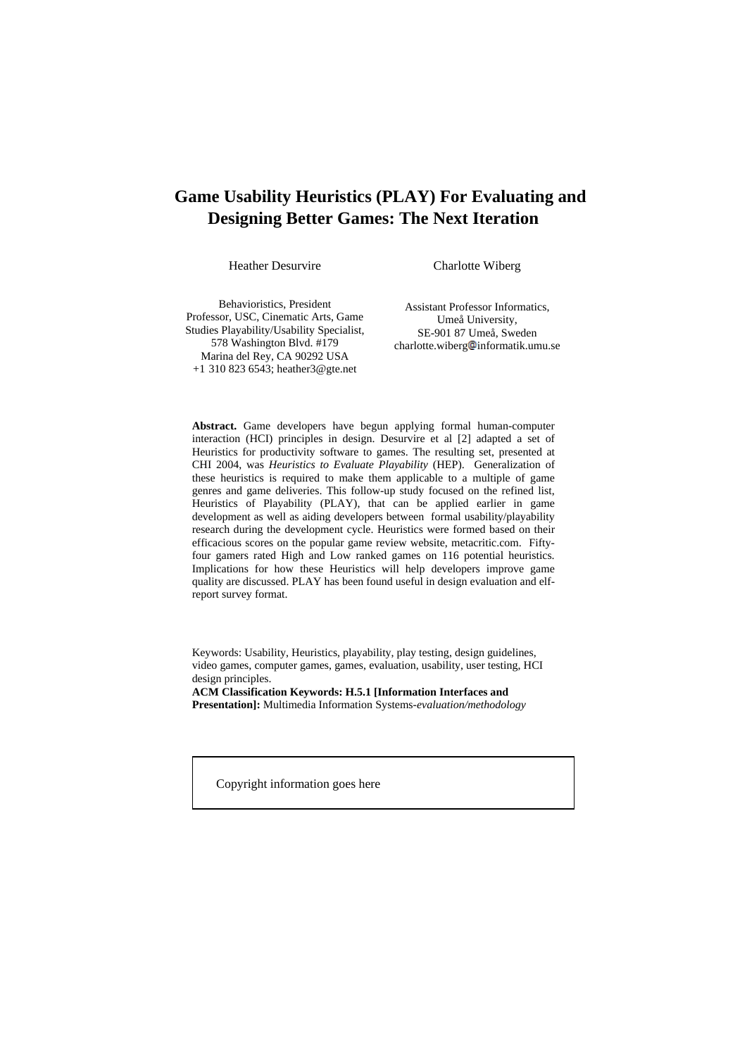# **Game Usability Heuristics (PLAY) For Evaluating and Designing Better Games: The Next Iteration**

Heather Desurvire

Charlotte Wiberg

Behavioristics, President Professor, USC, Cinematic Arts, Game Studies Playability/Usability Specialist, 578 Washington Blvd. #179 Marina del Rey, CA 90292 USA +1 310 823 6543; heather3@gte.net

Assistant Professor Informatics, Umeå University, SE-901 87 Umeå, Sweden charlotte.wiberg@informatik.umu.se

**Abstract.** Game developers have begun applying formal human-computer interaction (HCI) principles in design. Desurvire et al [2] adapted a set of Heuristics for productivity software to games. The resulting set, presented at CHI 2004, was *Heuristics to Evaluate Playability* (HEP). Generalization of these heuristics is required to make them applicable to a multiple of game genres and game deliveries. This follow-up study focused on the refined list, Heuristics of Playability (PLAY), that can be applied earlier in game development as well as aiding developers between formal usability/playability research during the development cycle. Heuristics were formed based on their efficacious scores on the popular game review website, metacritic.com. Fiftyfour gamers rated High and Low ranked games on 116 potential heuristics. Implications for how these Heuristics will help developers improve game quality are discussed. PLAY has been found useful in design evaluation and elfreport survey format.

Keywords: Usability, Heuristics, playability, play testing, design guidelines, video games, computer games, games, evaluation, usability, user testing, HCI design principles.

**ACM Classification Keywords: H.5.1 [Information Interfaces and Presentation]:** Multimedia Information Systems-*evaluation/methodology*

Copyright information goes here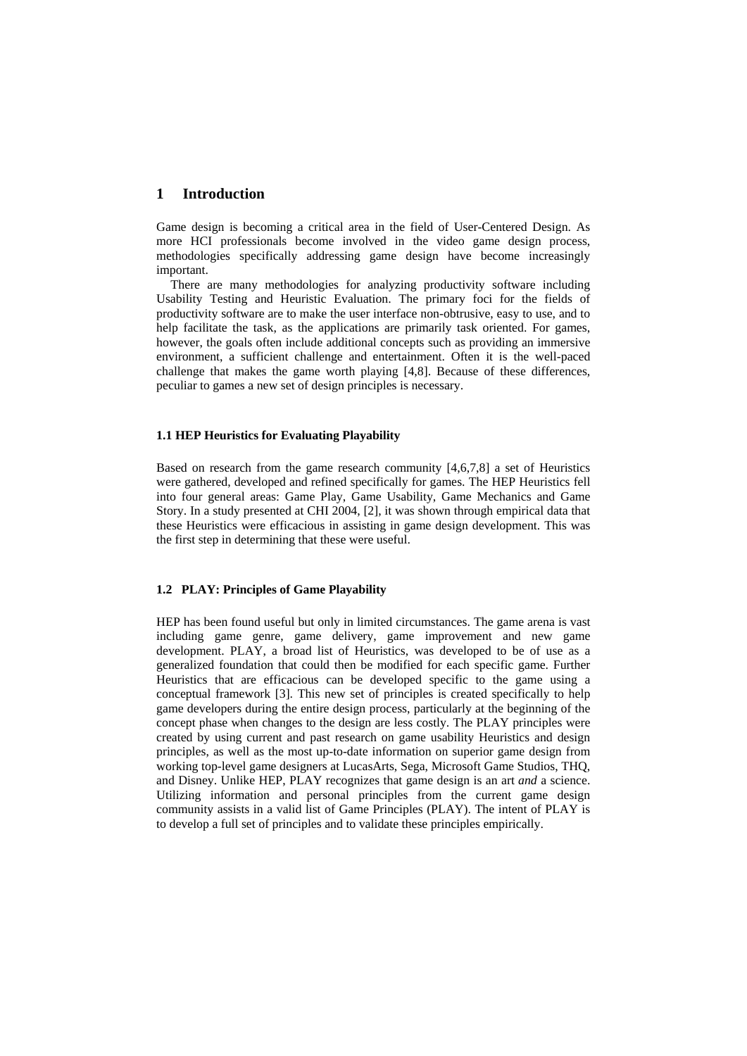## **1 Introduction**

Game design is becoming a critical area in the field of User-Centered Design. As more HCI professionals become involved in the video game design process, methodologies specifically addressing game design have become increasingly important.

There are many methodologies for analyzing productivity software including Usability Testing and Heuristic Evaluation. The primary foci for the fields of productivity software are to make the user interface non-obtrusive, easy to use, and to help facilitate the task, as the applications are primarily task oriented. For games, however, the goals often include additional concepts such as providing an immersive environment, a sufficient challenge and entertainment. Often it is the well-paced challenge that makes the game worth playing [4,8]. Because of these differences, peculiar to games a new set of design principles is necessary.

#### **1.1 HEP Heuristics for Evaluating Playability**

Based on research from the game research community [4,6,7,8] a set of Heuristics were gathered, developed and refined specifically for games. The HEP Heuristics fell into four general areas: Game Play, Game Usability, Game Mechanics and Game Story. In a study presented at CHI 2004, [2], it was shown through empirical data that these Heuristics were efficacious in assisting in game design development. This was the first step in determining that these were useful.

#### **1.2 PLAY: Principles of Game Playability**

HEP has been found useful but only in limited circumstances. The game arena is vast including game genre, game delivery, game improvement and new game development. PLAY, a broad list of Heuristics, was developed to be of use as a generalized foundation that could then be modified for each specific game. Further Heuristics that are efficacious can be developed specific to the game using a conceptual framework [3]. This new set of principles is created specifically to help game developers during the entire design process, particularly at the beginning of the concept phase when changes to the design are less costly. The PLAY principles were created by using current and past research on game usability Heuristics and design principles, as well as the most up-to-date information on superior game design from working top-level game designers at LucasArts, Sega, Microsoft Game Studios, THQ, and Disney. Unlike HEP, PLAY recognizes that game design is an art *and* a science. Utilizing information and personal principles from the current game design community assists in a valid list of Game Principles (PLAY). The intent of PLAY is to develop a full set of principles and to validate these principles empirically.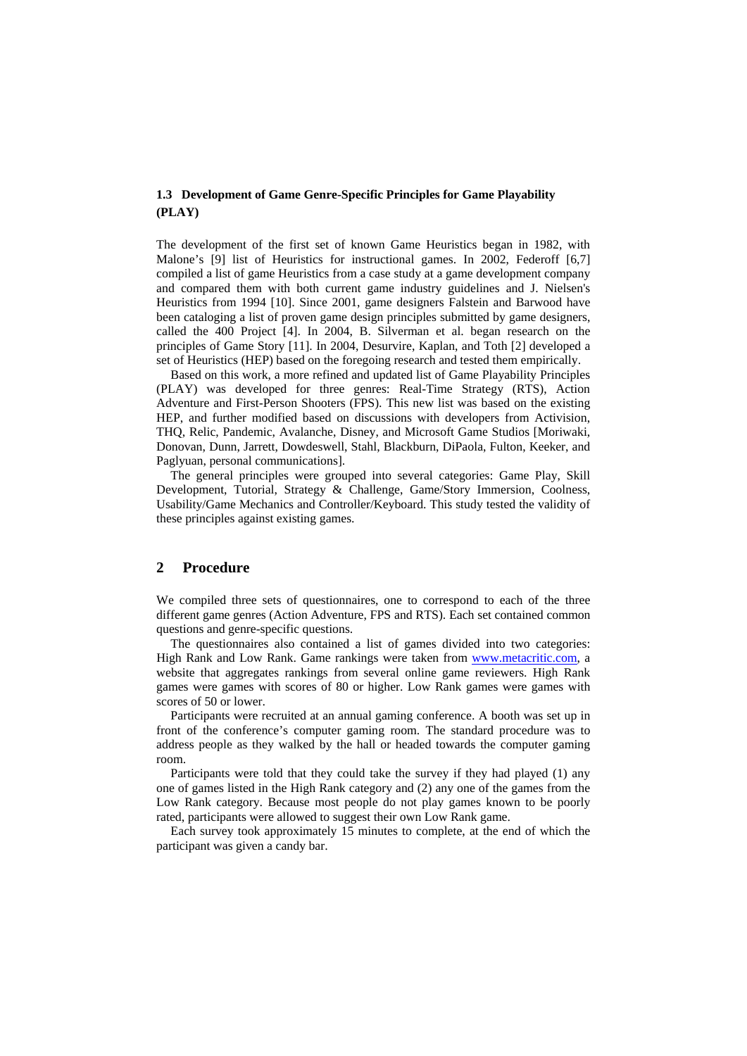### **1.3 Development of Game Genre-Specific Principles for Game Playability (PLAY)**

The development of the first set of known Game Heuristics began in 1982, with Malone's [9] list of Heuristics for instructional games. In 2002, Federoff [6,7] compiled a list of game Heuristics from a case study at a game development company and compared them with both current game industry guidelines and J. Nielsen's Heuristics from 1994 [10]. Since 2001, game designers Falstein and Barwood have been cataloging a list of proven game design principles submitted by game designers, called the 400 Project [4]. In 2004, B. Silverman et al. began research on the principles of Game Story [11]. In 2004, Desurvire, Kaplan, and Toth [2] developed a set of Heuristics (HEP) based on the foregoing research and tested them empirically.

Based on this work, a more refined and updated list of Game Playability Principles (PLAY) was developed for three genres: Real-Time Strategy (RTS), Action Adventure and First-Person Shooters (FPS). This new list was based on the existing HEP, and further modified based on discussions with developers from Activision, THQ, Relic, Pandemic, Avalanche, Disney, and Microsoft Game Studios [Moriwaki, Donovan, Dunn, Jarrett, Dowdeswell, Stahl, Blackburn, DiPaola, Fulton, Keeker, and Paglyuan, personal communications].

The general principles were grouped into several categories: Game Play, Skill Development, Tutorial, Strategy & Challenge, Game/Story Immersion, Coolness, Usability/Game Mechanics and Controller/Keyboard. This study tested the validity of these principles against existing games.

## **2 Procedure**

We compiled three sets of questionnaires, one to correspond to each of the three different game genres (Action Adventure, FPS and RTS). Each set contained common questions and genre-specific questions.

The questionnaires also contained a list of games divided into two categories: High Rank and Low Rank. Game rankings were taken from [www.metacritic.com](http://www.metacritic.com/), a website that aggregates rankings from several online game reviewers. High Rank games were games with scores of 80 or higher. Low Rank games were games with scores of 50 or lower.

Participants were recruited at an annual gaming conference. A booth was set up in front of the conference's computer gaming room. The standard procedure was to address people as they walked by the hall or headed towards the computer gaming room.

Participants were told that they could take the survey if they had played (1) any one of games listed in the High Rank category and (2) any one of the games from the Low Rank category. Because most people do not play games known to be poorly rated, participants were allowed to suggest their own Low Rank game.

Each survey took approximately 15 minutes to complete, at the end of which the participant was given a candy bar.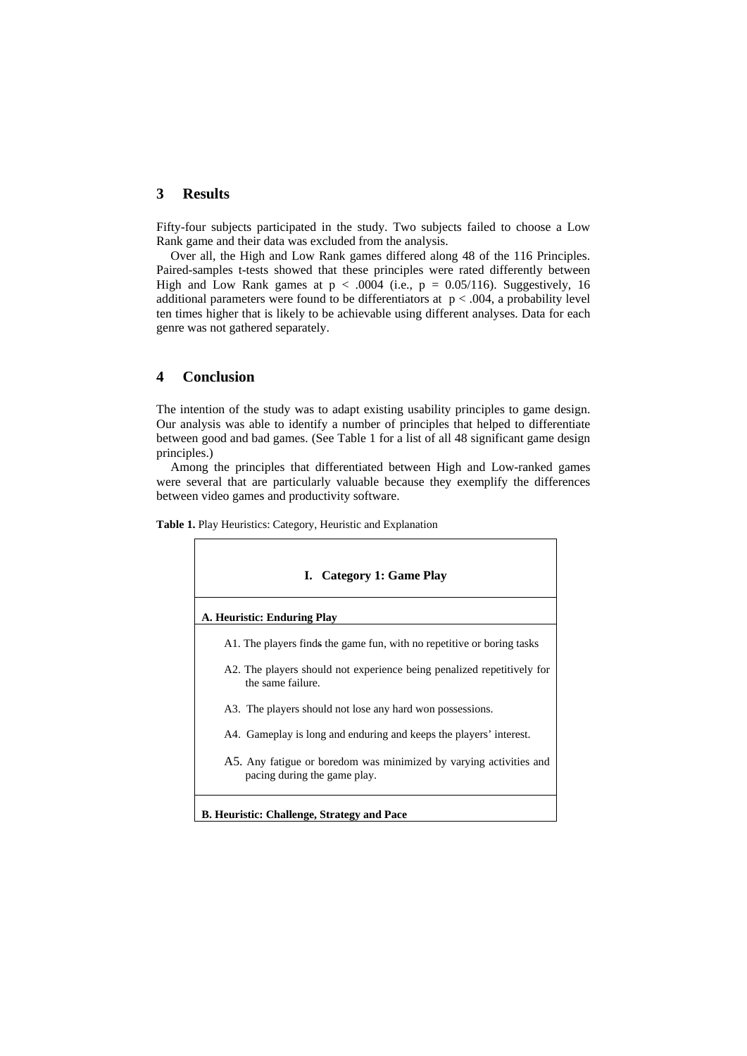## **3 Results**

Fifty-four subjects participated in the study. Two subjects failed to choose a Low Rank game and their data was excluded from the analysis.

Over all, the High and Low Rank games differed along 48 of the 116 Principles. Paired-samples t-tests showed that these principles were rated differently between High and Low Rank games at  $p < .0004$  (i.e.,  $p = 0.05/116$ ). Suggestively, 16 additional parameters were found to be differentiators at  $p < .004$ , a probability level ten times higher that is likely to be achievable using different analyses. Data for each genre was not gathered separately.

## **4 Conclusion**

The intention of the study was to adapt existing usability principles to game design. Our analysis was able to identify a number of principles that helped to differentiate between good and bad games. (See Table 1 for a list of all 48 significant game design principles.)

Among the principles that differentiated between High and Low-ranked games were several that are particularly valuable because they exemplify the differences between video games and productivity software.

**Table 1.** Play Heuristics: Category, Heuristic and Explanation

| I. Category 1: Game Play                                                                           |
|----------------------------------------------------------------------------------------------------|
| A. Heuristic: Enduring Play                                                                        |
| A1. The players finds the game fun, with no repetitive or boring tasks                             |
| A2. The players should not experience being penalized repetitively for<br>the same failure.        |
| A3. The players should not lose any hard won possessions.                                          |
| A4. Gameplay is long and enduring and keeps the players' interest.                                 |
| A5. Any fatigue or boredom was minimized by varying activities and<br>pacing during the game play. |
| <b>B. Heuristic: Challenge, Strategy and Pace</b>                                                  |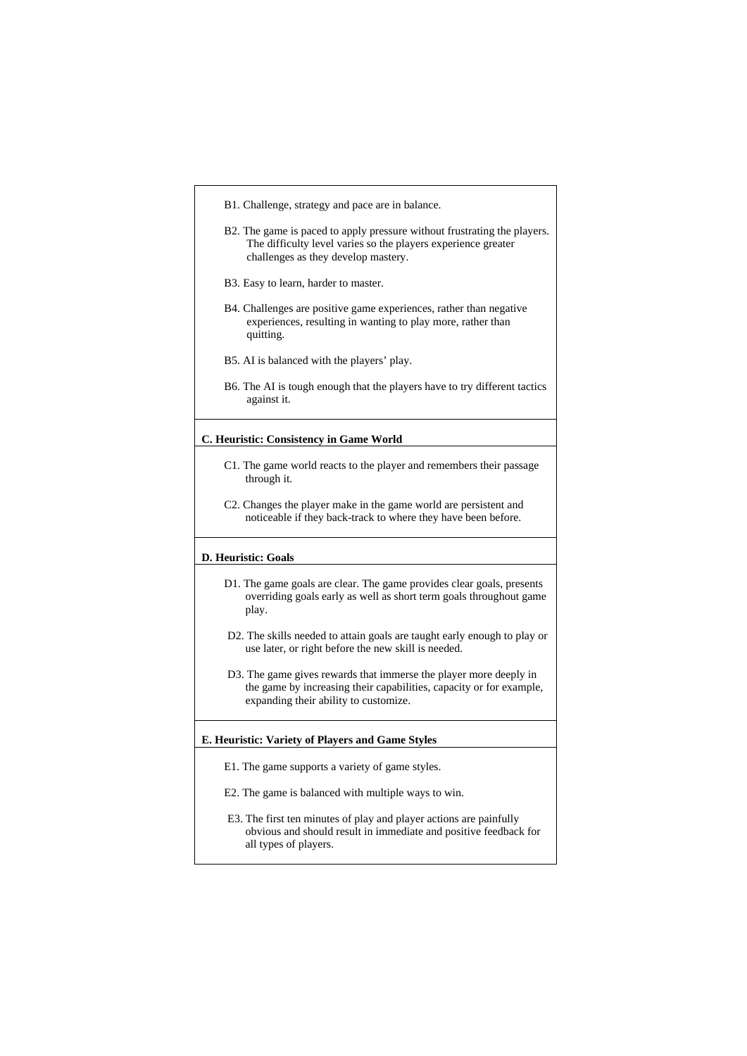B1. Challenge, strategy and pace are in balance.

- B2. The game is paced to apply pressure without frustrating the players. The difficulty level varies so the players experience greater challenges as they develop mastery.
- B3. Easy to learn, harder to master.
- B4. Challenges are positive game experiences, rather than negative experiences, resulting in wanting to play more, rather than quitting.
- B5. AI is balanced with the players' play.
- B6. The AI is tough enough that the players have to try different tactics against it.

#### **C. Heuristic: Consistency in Game World**

- C1. The game world reacts to the player and remembers their passage through it.
- C2. Changes the player make in the game world are persistent and noticeable if they back-track to where they have been before.

#### **D. Heuristic: Goals**

- D1. The game goals are clear. The game provides clear goals, presents overriding goals early as well as short term goals throughout game play.
- D2. The skills needed to attain goals are taught early enough to play or use later, or right before the new skill is needed.
- D3. The game gives rewards that immerse the player more deeply in the game by increasing their capabilities, capacity or for example, expanding their ability to customize.

#### **E. Heuristic: Variety of Players and Game Styles**

- E1. The game supports a variety of game styles.
- E2. The game is balanced with multiple ways to win.
- E3. The first ten minutes of play and player actions are painfully obvious and should result in immediate and positive feedback for all types of players.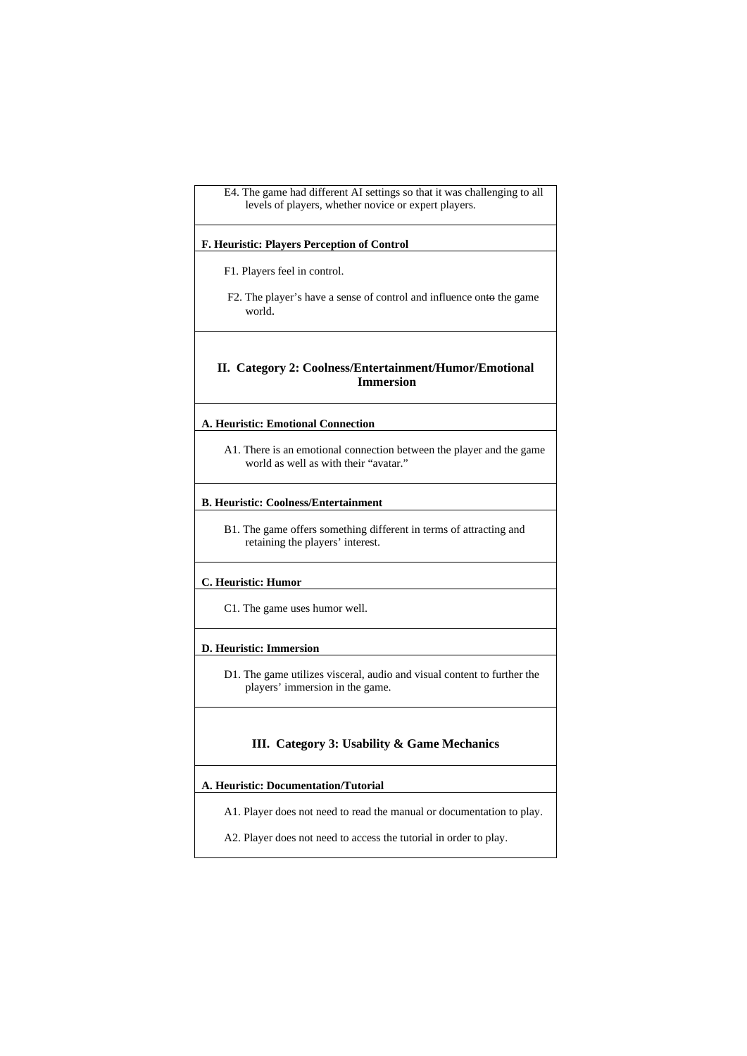E4. The game had different AI settings so that it was challenging to all levels of players, whether novice or expert players.

### **F. Heuristic: Players Perception of Control**

F1. Players feel in control.

F2. The player's have a sense of control and influence onto the game world.

### **II. Category 2: Coolness/Entertainment/Humor/Emotional Immersion**

#### **A. Heuristic: Emotional Connection**

A1. There is an emotional connection between the player and the game world as well as with their "avatar."

#### **B. Heuristic: Coolness/Entertainment**

B1. The game offers something different in terms of attracting and retaining the players' interest.

### **C. Heuristic: Humor**

C1. The game uses humor well.

#### **D. Heuristic: Immersion**

D1. The game utilizes visceral, audio and visual content to further the players' immersion in the game.

### **III. Category 3: Usability & Game Mechanics**

#### **A. Heuristic: Documentation/Tutorial**

- A1. Player does not need to read the manual or documentation to play.
- A2. Player does not need to access the tutorial in order to play.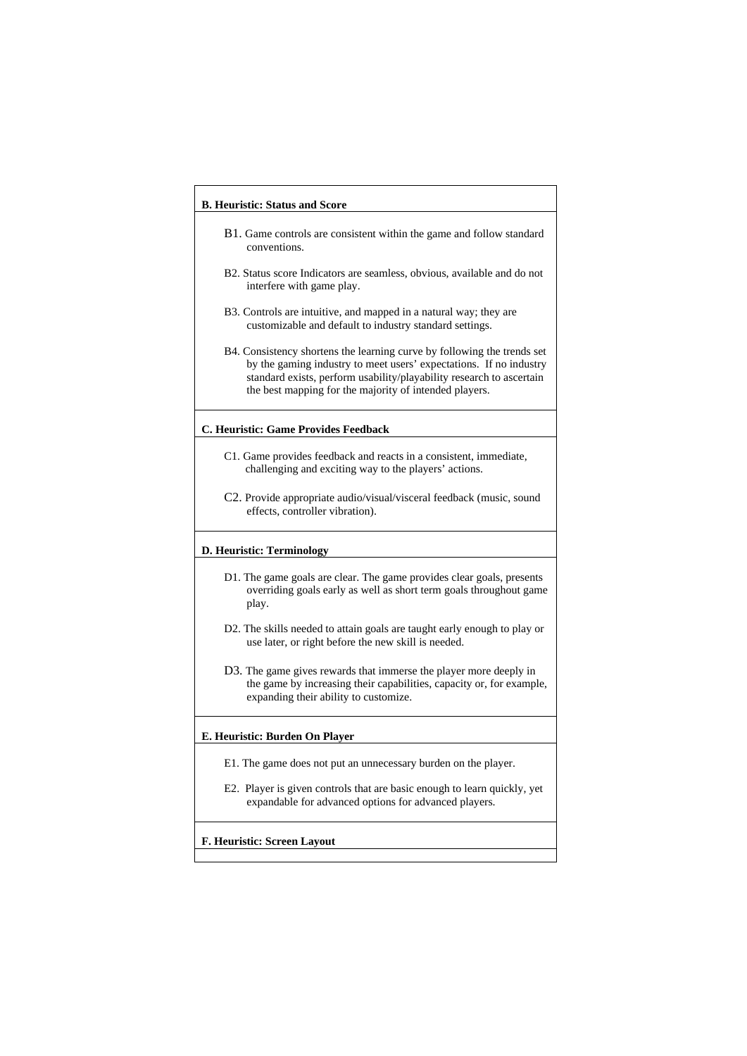## **B. Heuristic: Status and Score**

- B1. Game controls are consistent within the game and follow standard conventions.
- B2. Status score Indicators are seamless, obvious, available and do not interfere with game play.
- B3. Controls are intuitive, and mapped in a natural way; they are customizable and default to industry standard settings.
- B4. Consistency shortens the learning curve by following the trends set by the gaming industry to meet users' expectations. If no industry standard exists, perform usability/playability research to ascertain the best mapping for the majority of intended players.

## **C. Heuristic: Game Provides Feedback**

- C1. Game provides feedback and reacts in a consistent, immediate, challenging and exciting way to the players' actions.
- C2. Provide appropriate audio/visual/visceral feedback (music, sound effects, controller vibration).

## **D. Heuristic: Terminology**

- D1. The game goals are clear. The game provides clear goals, presents overriding goals early as well as short term goals throughout game play.
- D2. The skills needed to attain goals are taught early enough to play or use later, or right before the new skill is needed.
- D3. The game gives rewards that immerse the player more deeply in the game by increasing their capabilities, capacity or, for example, expanding their ability to customize.

## **E. Heuristic: Burden On Player**

- E1. The game does not put an unnecessary burden on the player.
- E2. Player is given controls that are basic enough to learn quickly, yet expandable for advanced options for advanced players.

## **F. Heuristic: Screen Layout**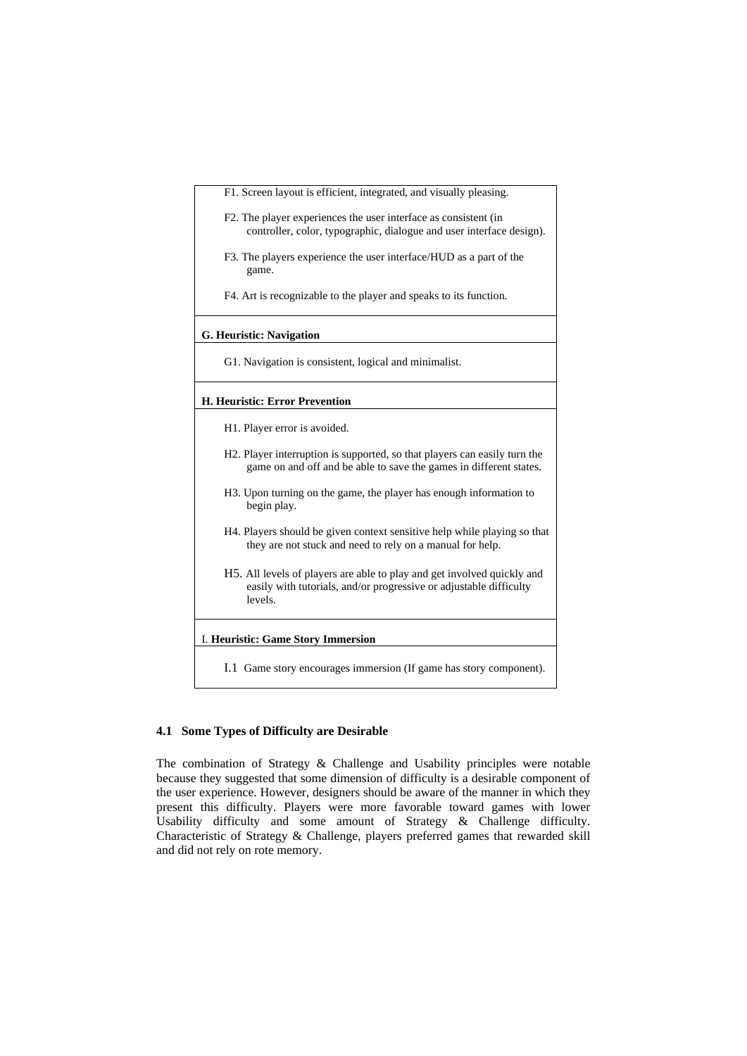F1. Screen layout is efficient, integrated, and visually pleasing.

- F2. The player experiences the user interface as consistent (in controller, color, typographic, dialogue and user interface design).
- F3. The players experience the user interface/HUD as a part of the game.
- F4. Art is recognizable to the player and speaks to its function.

## **G. Heuristic: Navigation**

G1. Navigation is consistent, logical and minimalist.

## **H. Heuristic: Error Prevention**

H1. Player error is avoided.

- H2. Player interruption is supported, so that players can easily turn the game on and off and be able to save the games in different states.
- H3. Upon turning on the game, the player has enough information to begin play.
- H4. Players should be given context sensitive help while playing so that they are not stuck and need to rely on a manual for help.
- H5. All levels of players are able to play and get involved quickly and easily with tutorials, and/or progressive or adjustable difficulty levels.

#### I. **Heuristic: Game Story Immersion**

I.1 Game story encourages immersion (If game has story component).

## **4.1 Some Types of Difficulty are Desirable**

The combination of Strategy & Challenge and Usability principles were notable because they suggested that some dimension of difficulty is a desirable component of the user experience. However, designers should be aware of the manner in which they present this difficulty. Players were more favorable toward games with lower Usability difficulty and some amount of Strategy & Challenge difficulty. Characteristic of Strategy & Challenge, players preferred games that rewarded skill and did not rely on rote memory.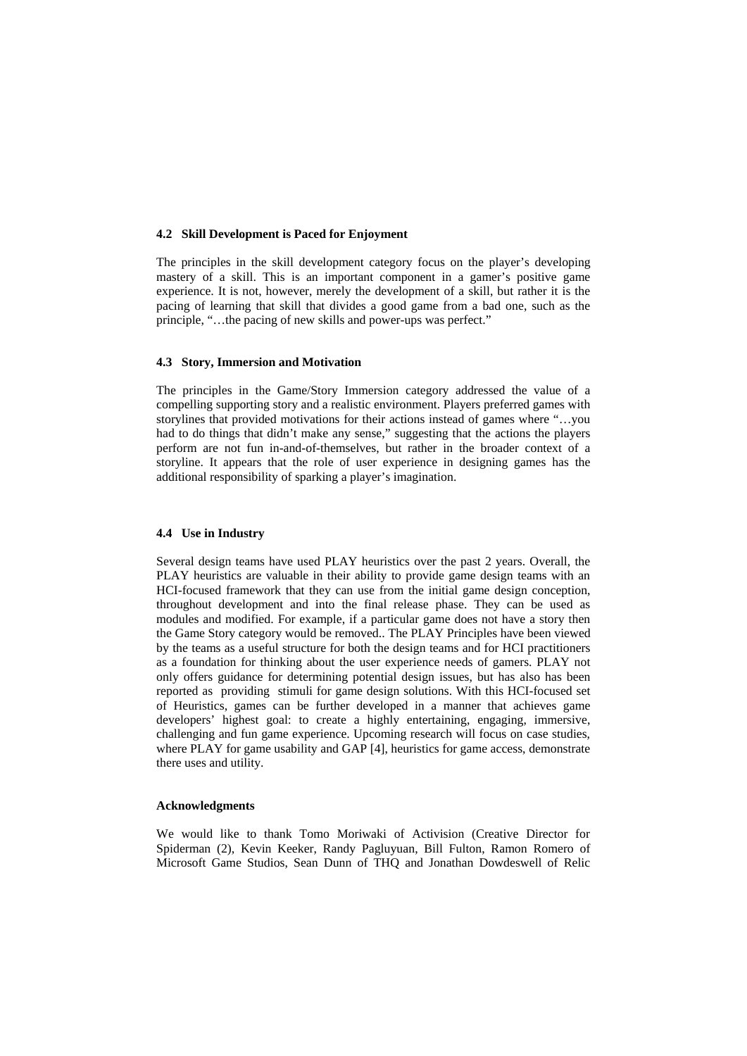#### **4.2 Skill Development is Paced for Enjoyment**

The principles in the skill development category focus on the player's developing mastery of a skill. This is an important component in a gamer's positive game experience. It is not, however, merely the development of a skill, but rather it is the pacing of learning that skill that divides a good game from a bad one, such as the principle, "…the pacing of new skills and power-ups was perfect."

### **4.3 Story, Immersion and Motivation**

The principles in the Game/Story Immersion category addressed the value of a compelling supporting story and a realistic environment. Players preferred games with storylines that provided motivations for their actions instead of games where "…you had to do things that didn't make any sense," suggesting that the actions the players perform are not fun in-and-of-themselves, but rather in the broader context of a storyline. It appears that the role of user experience in designing games has the additional responsibility of sparking a player's imagination.

#### **4.4 Use in Industry**

Several design teams have used PLAY heuristics over the past 2 years. Overall, the PLAY heuristics are valuable in their ability to provide game design teams with an HCI-focused framework that they can use from the initial game design conception, throughout development and into the final release phase. They can be used as modules and modified. For example, if a particular game does not have a story then the Game Story category would be removed.. The PLAY Principles have been viewed by the teams as a useful structure for both the design teams and for HCI practitioners as a foundation for thinking about the user experience needs of gamers. PLAY not only offers guidance for determining potential design issues, but has also has been reported as providing stimuli for game design solutions. With this HCI-focused set of Heuristics, games can be further developed in a manner that achieves game developers' highest goal: to create a highly entertaining, engaging, immersive, challenging and fun game experience. Upcoming research will focus on case studies, where PLAY for game usability and GAP [4], heuristics for game access, demonstrate there uses and utility.

#### **Acknowledgments**

We would like to thank Tomo Moriwaki of Activision (Creative Director for Spiderman (2), Kevin Keeker, Randy Pagluyuan, Bill Fulton, Ramon Romero of Microsoft Game Studios, Sean Dunn of THQ and Jonathan Dowdeswell of Relic